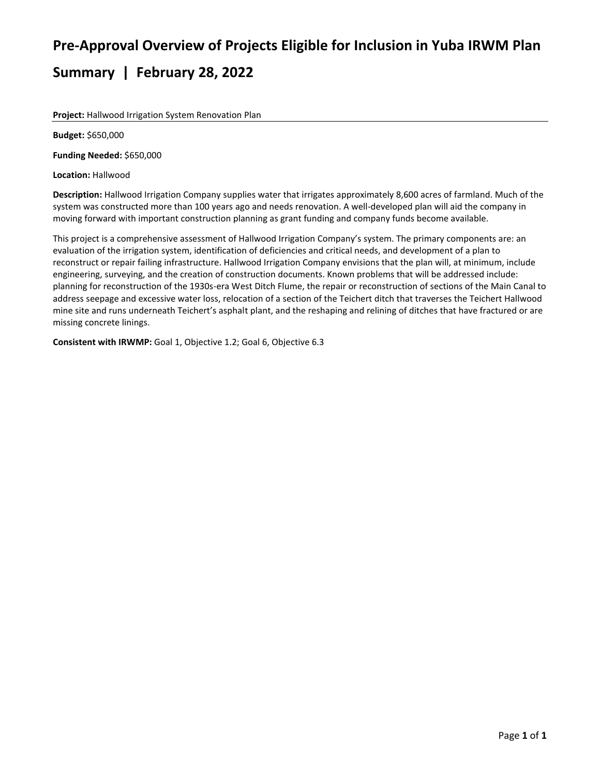# **Pre-Approval Overview of Projects Eligible for Inclusion in Yuba IRWM Plan Summary | February 28, 2022**

**Project:** Hallwood Irrigation System Renovation Plan

**Budget:** \$650,000

**Funding Needed:** \$650,000

**Location:** Hallwood

**Description:** Hallwood Irrigation Company supplies water that irrigates approximately 8,600 acres of farmland. Much of the system was constructed more than 100 years ago and needs renovation. A well-developed plan will aid the company in moving forward with important construction planning as grant funding and company funds become available.

This project is a comprehensive assessment of Hallwood Irrigation Company's system. The primary components are: an evaluation of the irrigation system, identification of deficiencies and critical needs, and development of a plan to reconstruct or repair failing infrastructure. Hallwood Irrigation Company envisions that the plan will, at minimum, include engineering, surveying, and the creation of construction documents. Known problems that will be addressed include: planning for reconstruction of the 1930s-era West Ditch Flume, the repair or reconstruction of sections of the Main Canal to address seepage and excessive water loss, relocation of a section of the Teichert ditch that traverses the Teichert Hallwood mine site and runs underneath Teichert's asphalt plant, and the reshaping and relining of ditches that have fractured or are missing concrete linings.

**Consistent with IRWMP:** Goal 1, Objective 1.2; Goal 6, Objective 6.3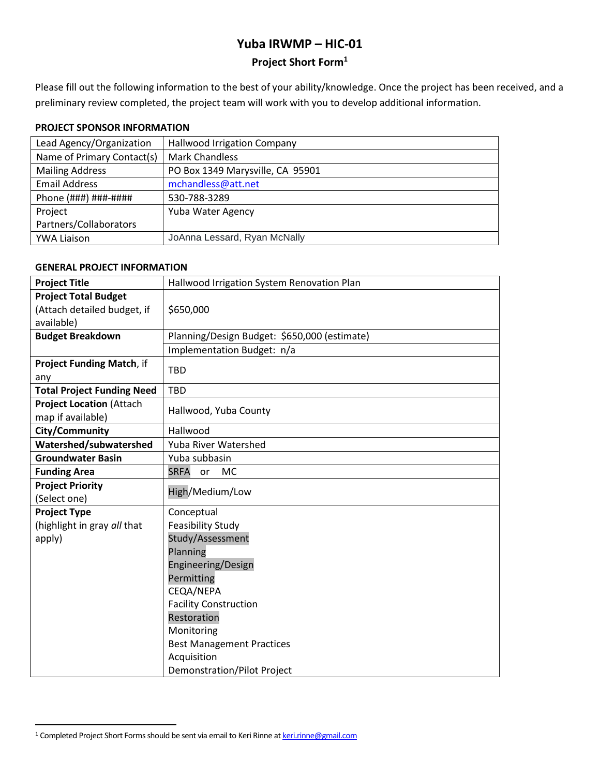# **Yuba IRWMP – HIC-01**

# **Project Short Form<sup>1</sup>**

Please fill out the following information to the best of your ability/knowledge. Once the project has been received, and a preliminary review completed, the project team will work with you to develop additional information.

### **PROJECT SPONSOR INFORMATION**

| <b>Hallwood Irrigation Company</b> |
|------------------------------------|
| <b>Mark Chandless</b>              |
| PO Box 1349 Marysville, CA 95901   |
| mchandless@att.net                 |
| 530-788-3289                       |
| Yuba Water Agency                  |
|                                    |
| JoAnna Lessard, Ryan McNally       |
|                                    |

# **GENERAL PROJECT INFORMATION**

| <b>Project Title</b>                                 | Hallwood Irrigation System Renovation Plan   |
|------------------------------------------------------|----------------------------------------------|
| <b>Project Total Budget</b>                          |                                              |
| (Attach detailed budget, if                          | \$650,000                                    |
| available)                                           |                                              |
| <b>Budget Breakdown</b>                              | Planning/Design Budget: \$650,000 (estimate) |
|                                                      | Implementation Budget: n/a                   |
| Project Funding Match, if<br>any                     | <b>TBD</b>                                   |
| <b>Total Project Funding Need</b>                    | <b>TBD</b>                                   |
| <b>Project Location (Attach</b><br>map if available) | Hallwood, Yuba County                        |
| City/Community                                       | Hallwood                                     |
| Watershed/subwatershed                               | Yuba River Watershed                         |
| <b>Groundwater Basin</b>                             | Yuba subbasin                                |
| <b>Funding Area</b>                                  | <b>SRFA</b><br><b>MC</b><br>or               |
| <b>Project Priority</b>                              | High/Medium/Low                              |
| (Select one)                                         |                                              |
| <b>Project Type</b>                                  | Conceptual                                   |
| (highlight in gray all that                          | <b>Feasibility Study</b>                     |
| apply)                                               | Study/Assessment                             |
|                                                      | Planning                                     |
|                                                      | Engineering/Design                           |
|                                                      | Permitting                                   |
|                                                      | CEQA/NEPA                                    |
|                                                      | <b>Facility Construction</b>                 |
|                                                      | Restoration                                  |
|                                                      | Monitoring                                   |
|                                                      | <b>Best Management Practices</b>             |
|                                                      | Acquisition                                  |
|                                                      | <b>Demonstration/Pilot Project</b>           |

<sup>&</sup>lt;sup>1</sup> Completed Project Short Forms should be sent via email to Keri Rinne a[t keri.rinne@gmail.com](mailto:keri.rinne@gmail.com)